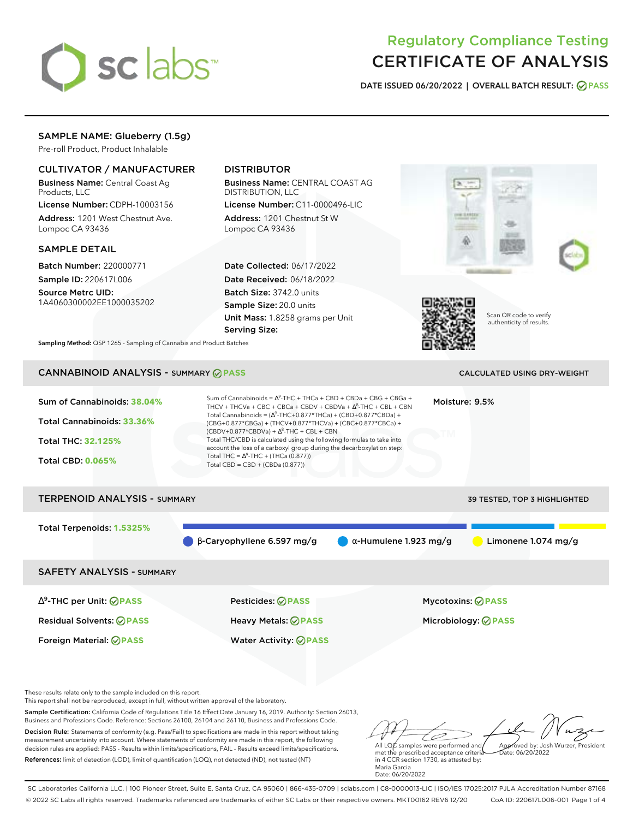

# Regulatory Compliance Testing CERTIFICATE OF ANALYSIS

**DATE ISSUED 06/20/2022 | OVERALL BATCH RESULT: PASS**

# SAMPLE NAME: Glueberry (1.5g)

Pre-roll Product, Product Inhalable

# CULTIVATOR / MANUFACTURER

Business Name: Central Coast Ag Products, LLC

License Number: CDPH-10003156 Address: 1201 West Chestnut Ave. Lompoc CA 93436

### SAMPLE DETAIL

Batch Number: 220000771 Sample ID: 220617L006

Source Metrc UID: 1A4060300002EE1000035202

# DISTRIBUTOR

Business Name: CENTRAL COAST AG DISTRIBUTION, LLC

License Number: C11-0000496-LIC Address: 1201 Chestnut St W Lompoc CA 93436

Date Collected: 06/17/2022 Date Received: 06/18/2022 Batch Size: 3742.0 units Sample Size: 20.0 units Unit Mass: 1.8258 grams per Unit Serving Size:





Scan QR code to verify authenticity of results.

**Sampling Method:** QSP 1265 - Sampling of Cannabis and Product Batches

# CANNABINOID ANALYSIS - SUMMARY **PASS** CALCULATED USING DRY-WEIGHT

| Sum of Cannabinoids: 38.04%<br>Total Cannabinoids: 33.36%<br><b>Total THC: 32.125%</b><br><b>Total CBD: 0.065%</b> | Sum of Cannabinoids = $\Delta^9$ -THC + THCa + CBD + CBDa + CBG + CBGa +<br>THCV + THCVa + CBC + CBCa + CBDV + CBDVa + $\Lambda^8$ -THC + CBL + CBN<br>Total Cannabinoids = $(\Delta^9$ -THC+0.877*THCa) + (CBD+0.877*CBDa) +<br>(CBG+0.877*CBGa) + (THCV+0.877*THCVa) + (CBC+0.877*CBCa) +<br>$(CBDV+0.877*CBDVa) + \Delta^{8}$ -THC + CBL + CBN<br>Total THC/CBD is calculated using the following formulas to take into<br>account the loss of a carboxyl group during the decarboxylation step:<br>Total THC = $\Delta^9$ -THC + (THCa (0.877))<br>Total CBD = CBD + (CBDa (0.877)) |                               | Moisture: 9.5%                                          |
|--------------------------------------------------------------------------------------------------------------------|-----------------------------------------------------------------------------------------------------------------------------------------------------------------------------------------------------------------------------------------------------------------------------------------------------------------------------------------------------------------------------------------------------------------------------------------------------------------------------------------------------------------------------------------------------------------------------------------|-------------------------------|---------------------------------------------------------|
| <b>TERPENOID ANALYSIS - SUMMARY</b>                                                                                |                                                                                                                                                                                                                                                                                                                                                                                                                                                                                                                                                                                         |                               | 39 TESTED, TOP 3 HIGHLIGHTED                            |
| Total Terpenoids: 1.5325%                                                                                          | $\beta$ -Caryophyllene 6.597 mg/g                                                                                                                                                                                                                                                                                                                                                                                                                                                                                                                                                       | $\alpha$ -Humulene 1.923 mg/g | Limonene 1.074 mg/g                                     |
| <b>SAFETY ANALYSIS - SUMMARY</b>                                                                                   |                                                                                                                                                                                                                                                                                                                                                                                                                                                                                                                                                                                         |                               |                                                         |
| $\Delta^9$ -THC per Unit: $\oslash$ PASS<br><b>Residual Solvents: ⊘PASS</b>                                        | Pesticides: ⊘PASS<br>Heavy Metals: @PASS                                                                                                                                                                                                                                                                                                                                                                                                                                                                                                                                                |                               | <b>Mycotoxins: ⊘PASS</b><br>Microbiology: <b>⊘ PASS</b> |

These results relate only to the sample included on this report.

This report shall not be reproduced, except in full, without written approval of the laboratory.

Sample Certification: California Code of Regulations Title 16 Effect Date January 16, 2019. Authority: Section 26013, Business and Professions Code. Reference: Sections 26100, 26104 and 26110, Business and Professions Code.

Decision Rule: Statements of conformity (e.g. Pass/Fail) to specifications are made in this report without taking measurement uncertainty into account. Where statements of conformity are made in this report, the following decision rules are applied: PASS - Results within limits/specifications, FAIL - Results exceed limits/specifications. References: limit of detection (LOD), limit of quantification (LOQ), not detected (ND), not tested (NT)

Foreign Material: **PASS** Water Activity: **PASS**

All LQC samples were performed and Approved by: Josh Wurzer, President Date: 06/20/2022

met the prescribed acceptance criteria in 4 CCR section 1730, as attested by: Maria Garcia Date: 06/20/2022

SC Laboratories California LLC. | 100 Pioneer Street, Suite E, Santa Cruz, CA 95060 | 866-435-0709 | sclabs.com | C8-0000013-LIC | ISO/IES 17025:2017 PJLA Accreditation Number 87168 © 2022 SC Labs all rights reserved. Trademarks referenced are trademarks of either SC Labs or their respective owners. MKT00162 REV6 12/20 CoA ID: 220617L006-001 Page 1 of 4